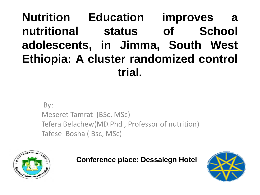### **Nutrition Education improves a nutritional status of School adolescents, in Jimma, South West Ethiopia: A cluster randomized control trial.**

By: Meseret Tamrat (BSc, MSc) Tefera Belachew(MD.Phd , Professor of nutrition) Tafese Bosha ( Bsc, MSc)



**Conference place: Dessalegn Hotel** 

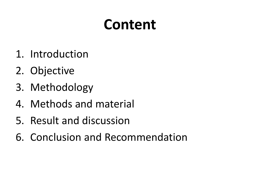### **Content**

- 1. Introduction
- 2. Objective
- 3. Methodology
- 4. Methods and material
- 5. Result and discussion
- 6. Conclusion and Recommendation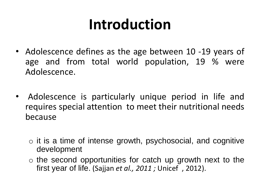### **Introduction**

- Adolescence defines as the age between 10 -19 years of age and from total world population, 19 % were Adolescence.
- Adolescence is particularly unique period in life and requires special attention to meet their nutritional needs because
	- $\circ$  it is a time of intense growth, psychosocial, and cognitive development
	- $\circ$  the second opportunities for catch up growth next to the first year of life. (Sajjan *et al., 2011 ;* Unicef , 2012).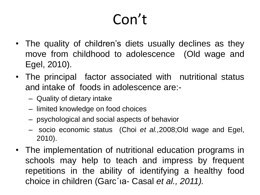- The quality of children's diets usually declines as they move from childhood to adolescence (Old wage and Egel, 2010).
- The principal factor associated with nutritional status and intake of foods in adolescence are:-
	- Quality of dietary intake
	- limited knowledge on food choices
	- psychological and social aspects of behavior
	- socio economic status (Choi *et al.,*2008;Old wage and Egel, 2010).
- The implementation of nutritional education programs in schools may help to teach and impress by frequent repetitions in the ability of identifying a healthy food choice in children (Garc´ıa- Casal *et al., 2011).*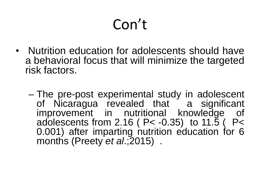- Nutrition education for adolescents should have a behavioral focus that will minimize the targeted risk factors.
	- The pre-post experimental study in adolescent of Nicaragua revealed that a significant improvement in nutritional knowledge of adolescents from 2.16 ( P< -0.35) to 11.5 ( P< 0.001) after imparting nutrition education for 6 months (Preety *et al*.;2015) .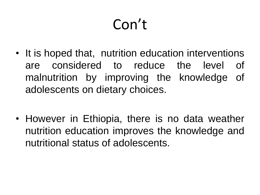- It is hoped that, nutrition education interventions are considered to reduce the level of malnutrition by improving the knowledge of adolescents on dietary choices.
- However in Ethiopia, there is no data weather nutrition education improves the knowledge and nutritional status of adolescents.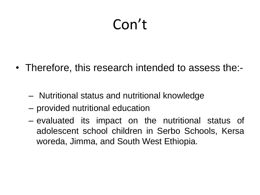- Therefore, this research intended to assess the:-
	- Nutritional status and nutritional knowledge
	- provided nutritional education
	- evaluated its impact on the nutritional status of adolescent school children in Serbo Schools, Kersa woreda, Jimma, and South West Ethiopia.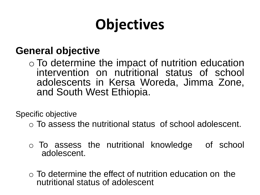# **Objectives**

### **General objective**

o To determine the impact of nutrition education intervention on nutritional status of school adolescents in Kersa Woreda, Jimma Zone, and South West Ethiopia.

Specific objective

- o To assess the nutritional status of school adolescent.
- o To assess the nutritional knowledge of school adolescent.
- $\circ$  To determine the effect of nutrition education on the nutritional status of adolescent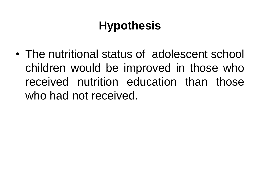### **Hypothesis**

• The nutritional status of adolescent school children would be improved in those who received nutrition education than those who had not received.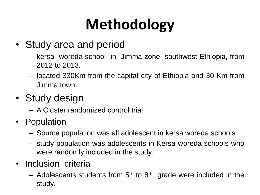# **Methodology**

- Study area and period
	- kersa woreda school in Jimma zone southwest Ethiopia, from 2012 to 2013.
	- located 330Km from the capital city of Ethiopia and 30 Km from Jimma town.
- Study design
	- A Cluster randomized control trial
- Population
	- Source population was all adolescent in kersa woreda schools
	- study population was adolescents in Kersa woreda schools who were randomly included in the study.
- Inclusion criteria
	- $-$  Adolescents students from  $5<sup>th</sup>$  to  $8<sup>th</sup>$  grade were included in the study.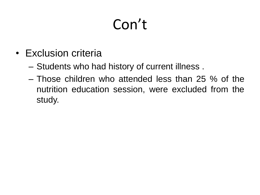- Exclusion criteria
	- Students who had history of current illness .
	- Those children who attended less than 25 % of the nutrition education session, were excluded from the study.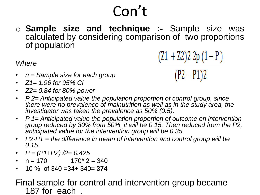o **Sample size and technique :-** Sample size was calculated by considering comparison of two proportions of population

*Where* 

$$
(Z1 + Z2)2 2p (1 - P)
$$

 $(P2 - P1)2$ 

- *n = Sample size for each group*
- *Z1= 1.96 for 95% CI*
- *Z2= 0.84 for 80% power*
- *P 2= Anticipated value the population proportion of control group, since there were no prevalence of malnutrition as well as in the study area, the investigator was taken the prevalence as 50% (0.5).*
- *P 1= Anticipated value the population proportion of outcome on intervention group reduced by 30% from 50%, it will be 0.15. Then reduced from the P2, anticipated value for the intervention group will be 0.35.*
- *P2-P1 = the difference in mean of intervention and control group will be 0.15.*
- *P = (P1+P2) /2= 0.425*
- $n = 170$  ,  $170^* 2 = 340$
- 10 % of 340 =34+ 340= **374**

### Final sample for control and intervention group became 187 for each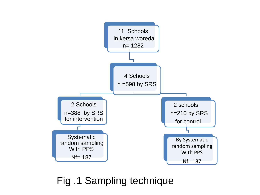

Fig .1 Sampling technique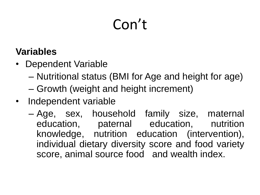### **Variables**

- Dependent Variable
	- Nutritional status (BMI for Age and height for age)
	- Growth (weight and height increment)
- Independent variable
	- Age, sex, household family size, maternal education, paternal education, nutrition knowledge, nutrition education (intervention), individual dietary diversity score and food variety score, animal source food and wealth index.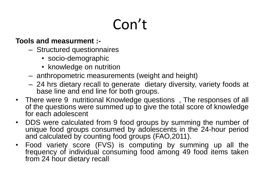#### **Tools and measurment :-**

- Structured questionnaires
	- socio-demographic
	- knowledge on nutrition
- anthropometric measurements (weight and height)
- 24 hrs dietary recall to generate dietary diversity, variety foods at base line and end line for both groups.
- There were 9 nutritional Knowledge questions , The responses of all of the questions were summed up to give the total score of knowledge for each adolescent
- DDS were calculated from 9 food groups by summing the number of unique food groups consumed by adolescents in the 24-hour period and calculated by counting food groups (FAO,2011).
- Food variety score (FVS) is computing by summing up all the frequency of individual consuming food among 49 food items taken from 24 hour dietary recall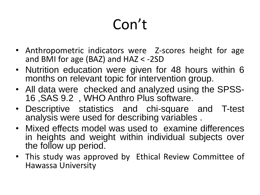- Anthropometric indicators were Z-scores height for age and BMI for age (BAZ) and HAZ < -2SD
- Nutrition education were given for 48 hours within 6 months on relevant topic for intervention group.
- All data were checked and analyzed using the SPSS-16 ,SAS 9.2 , WHO Anthro Plus software.
- Descriptive statistics and chi-square and T-test analysis were used for describing variables .
- Mixed effects model was used to examine differences in heights and weight within individual subjects over the follow up period.
- This study was approved by Ethical Review Committee of Hawassa University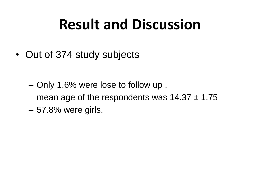### **Result and Discussion**

- Out of 374 study subjects
	- Only 1.6% were lose to follow up .
	- mean age of the respondents was  $14.37 \pm 1.75$
	- 57.8% were girls.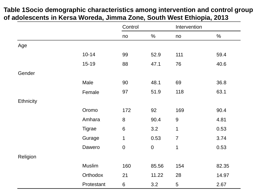#### **Table 1Socio demographic characteristics among intervention and control group of adolescents in Kersa Woreda, Jimma Zone, South West Ethiopia, 2013**

|           |               | Control          |             | Intervention     |       |
|-----------|---------------|------------------|-------------|------------------|-------|
|           |               | no               | $\%$        | no               | $\%$  |
| Age       |               |                  |             |                  |       |
|           | $10 - 14$     | 99               | 52.9        | 111              | 59.4  |
|           | $15 - 19$     | 88               | 47.1        | 76               | 40.6  |
| Gender    |               |                  |             |                  |       |
|           | Male          | 90               | 48.1        | 69               | 36.8  |
|           | Female        | 97               | 51.9        | 118              | 63.1  |
| Ethnicity |               |                  |             |                  |       |
|           | Oromo         | 172              | 92          | 169              | 90.4  |
|           | Amhara        | $\bf 8$          | 90.4        | $\boldsymbol{9}$ | 4.81  |
|           | <b>Tigrae</b> | $6\,$            | 3.2         | 1                | 0.53  |
|           | Gurage        | 1                | 0.53        | $\overline{7}$   | 3.74  |
|           | Dawero        | $\boldsymbol{0}$ | $\mathbf 0$ | $\mathbf 1$      | 0.53  |
| Religion  |               |                  |             |                  |       |
|           | <b>Muslim</b> | 160              | 85.56       | 154              | 82.35 |
|           | Orthodox      | 21               | 11.22       | 28               | 14.97 |
|           | Protestant    | $\,6$            | 3.2         | 5                | 2.67  |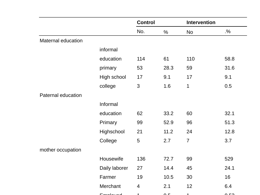|                    |               | <b>Control</b> |          | <b>Intervention</b> |               |
|--------------------|---------------|----------------|----------|---------------------|---------------|
|                    |               | No.            | $\%$     | <b>No</b>           | $\frac{9}{6}$ |
| Maternal education |               |                |          |                     |               |
|                    | informal      |                |          |                     |               |
|                    | education     | 114            | 61       | 110                 | 58.8          |
|                    | primary       | 53             | 28.3     | 59                  | 31.6          |
|                    | High school   | 17             | 9.1      | 17                  | 9.1           |
|                    | college       | 3              | 1.6      | 1                   | 0.5           |
| Paternal education |               |                |          |                     |               |
|                    | Informal      |                |          |                     |               |
|                    | education     | 62             | 33.2     | 60                  | 32.1          |
|                    | Primary       | 99             | 52.9     | 96                  | 51.3          |
|                    | Highschool    | 21             | 11.2     | 24                  | 12.8          |
|                    | College       | 5              | 2.7      | $\overline{7}$      | 3.7           |
| mother occupation  |               |                |          |                     |               |
|                    | Housewife     | 136            | 72.7     | 99                  | 529           |
|                    | Daily laborer | 27             | 14.4     | 45                  | 24.1          |
|                    | Farmer        | 19             | 10.5     | 30                  | 16            |
|                    | Merchant      | $\overline{4}$ | 2.1      | 12                  | 6.4           |
|                    | Employed      | $\overline{A}$ | $\Delta$ | $\overline{A}$      | പ പ           |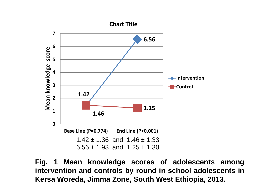

**Fig. 1 Mean knowledge scores of adolescents among intervention and controls by round in school adolescents in Kersa Woreda, Jimma Zone, South West Ethiopia, 2013.**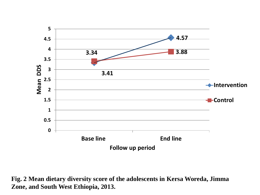

**Fig. 2 Mean dietary diversity score of the adolescents in Kersa Woreda, Jimma Zone, and South West Ethiopia, 2013.**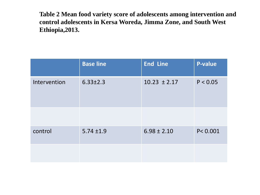**Table 2 Mean food variety score of adolescents among intervention and control adolescents in Kersa Woreda, Jimma Zone, and South West Ethiopia,2013.**

|              | <b>Base line</b> | <b>End Line</b>  | <b>P-value</b> |
|--------------|------------------|------------------|----------------|
| Intervention | $6.33 \pm 2.3$   | $10.23 \pm 2.17$ | P < 0.05       |
|              |                  |                  |                |
| control      | $5.74 \pm 1.9$   | $6.98 \pm 2.10$  | P < 0.001      |
|              |                  |                  |                |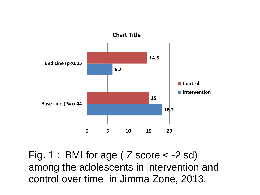

Fig. 1 : BMI for age ( Z score < -2 sd) among the adolescents in intervention and control over time in Jimma Zone, 2013.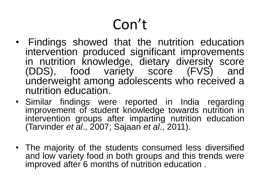- Findings showed that the nutrition education intervention produced significant improvements in nutrition knowledge, dietary diversity score (DDS), food variety score (FVS) and underweight among adolescents who received a nutrition education.
- Similar findings were reported in India regarding improvement of student knowledge towards nutrition in intervention groups after imparting nutrition education (Tarvinder *et al*., 2007; Sajaan *et al*., 2011).
- The majority of the students consumed less diversified and low variety food in both groups and this trends were improved after 6 months of nutrition education .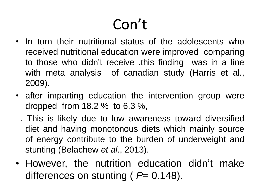- In turn their nutritional status of the adolescents who received nutritional education were improved comparing to those who didn't receive .this finding was in a line with meta analysis of canadian study (Harris et al., 2009).
- after imparting education the intervention group were dropped from 18.2 % to 6.3 %,
	- . This is likely due to low awareness toward diversified diet and having monotonous diets which mainly source of energy contribute to the burden of underweight and stunting (Belachew *et al*., 2013).
- However, the nutrition education didn't make differences on stunting (  $P= 0.148$ ).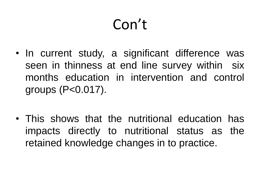- In current study, a significant difference was seen in thinness at end line survey within six months education in intervention and control groups (P<0.017).
- This shows that the nutritional education has impacts directly to nutritional status as the retained knowledge changes in to practice.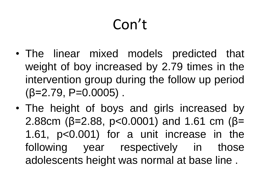- The linear mixed models predicted that weight of boy increased by 2.79 times in the intervention group during the follow up period  $(\beta=2.79, P=0.0005)$ .
- The height of boys and girls increased by 2.88cm ( $\beta$ =2.88, p<0.0001) and 1.61 cm ( $\beta$ = 1.61, p<0.001) for a unit increase in the following year respectively in those adolescents height was normal at base line .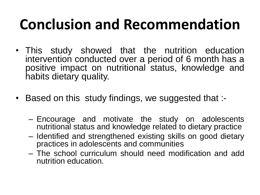### **Conclusion and Recommendation**

- This study showed that the nutrition education intervention conducted over a period of 6 month has a positive impact on nutritional status, knowledge and habits dietary quality.
- Based on this study findings, we suggested that :-
	- Encourage and motivate the study on adolescents nutritional status and knowledge related to dietary practice
	- Identified and strengthened existing skills on good dietary practices in adolescents and communities
	- The school curriculum should need modification and add nutrition education.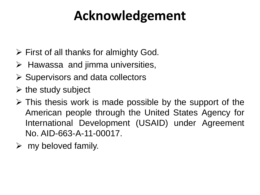### **Acknowledgement**

- $\triangleright$  First of all thanks for almighty God.
- $\triangleright$  Hawassa and jimma universities,
- $\triangleright$  Supervisors and data collectors
- $\triangleright$  the study subject
- $\triangleright$  This thesis work is made possible by the support of the American people through the United States Agency for International Development (USAID) under Agreement No. AID-663-A-11-00017.
- $\triangleright$  my beloved family.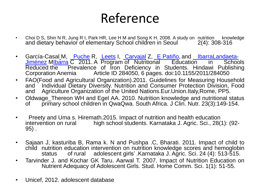### Reference

- Choi D S, Shin N R, Jung R I, Park HR, Lee H M and Song K H. 2008. A study on nutrition knowledge and dietary behavior of elementary School children in Seoul 2(4): 308-316
- García-Casal\_M, Leche R, [Leets](http://www.hindawi.com/50760974/) I, [Carvajal](http://www.hindawi.com/47051401/) Z, E [Patiño](http://www.hindawi.com/91963463/), and LibarraLandaeta-Jiménez M<u>[Ibarra](http://www.hindawi.com/50680483/)</u> C 2011. A Program of Nutritional Education in Schools Reduced the Prevalence of Iron Deficiency in Students. Hindawi Publishing Corporation Anemia Article ID 284050, 6 pages. doi:10.1155/2011/284050
- FAO(Food and Agricultural Organization).2011. Guidelines for Measuring Household and `Individual Dietary Diversity. Nutrition and Consumer Protection Division, Food and Agriculture Organization of the United Nations.Eur.Union.Italy,Rome, PP5.
- Oldwage\_Thereon WH and Egel AA. 2010. Nutrition knowledge and nutritional status of primary school children in QwaQwa. South Africa. J Clin. Nutr. 23(3):149-154.
- Preety and Uma s. Hiremath.2015. Impact of nutrition and health education<br>
intervention on rural bigh school students. Karnataka J. Agric. Sci.. 28(19) high school students. Karnataka J. Agric. Sci., 28(1): (92-95) .
- Sajaan J, kasturiba B, Rama k. N and Pushpa .C, Bharati. 2011. Impact of child to child nutrition education intervention on nutrition knowledge scores and hemoglobin status of rural adolescent girls' .Karnataka J. Agric. Sci. 24 (4): 513-515.
- Tarvinder J. and Kochar GK Taru. Aarwal T. 2007. Impact of Nutrition Education on Nutrient Adequacy of Adolescent Girls. Stud. Home Comm. Sci. 1(1): 51-55.
- Unicef, 2012. adolescent database